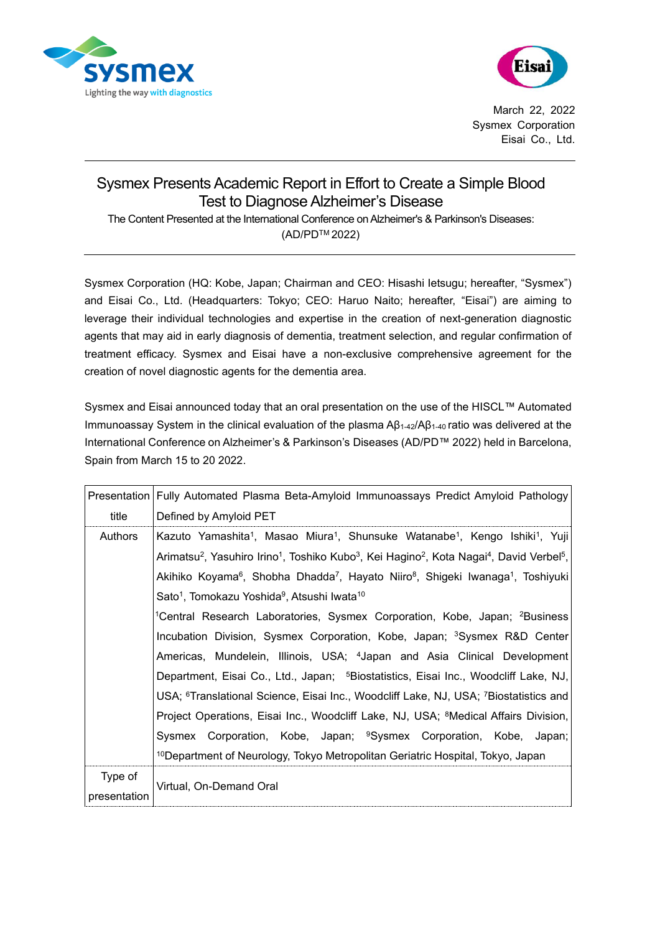



March 22, 2022 Sysmex Corporation Eisai Co., Ltd.

## Sysmex Presents Academic Report in Effort to Create a Simple Blood Test to Diagnose Alzheimer's Disease

The Content Presented at the International Conference on Alzheimer's & Parkinson's Diseases: (AD/PDTM 2022)

Sysmex Corporation (HQ: Kobe, Japan; Chairman and CEO: Hisashi Ietsugu; hereafter, "Sysmex") and Eisai Co., Ltd. (Headquarters: Tokyo; CEO: Haruo Naito; hereafter, "Eisai") are aiming to leverage their individual technologies and expertise in the creation of next-generation diagnostic agents that may aid in early diagnosis of dementia, treatment selection, and regular confirmation of treatment efficacy. Sysmex and Eisai have a non-exclusive comprehensive agreement for the creation of novel diagnostic agents for the dementia area.

Sysmex and Eisai announced today that an oral presentation on the use of the HISCL™ Automated Immunoassay System in the clinical evaluation of the plasma Aβ1-42/Aβ1-40 ratio was delivered at the International Conference on Alzheimer's & Parkinson's Diseases (AD/PD™ 2022) held in Barcelona, Spain from March 15 to 20 2022.

|                         | Presentation   Fully Automated Plasma Beta-Amyloid Immunoassays Predict Amyloid Pathology                                                                         |
|-------------------------|-------------------------------------------------------------------------------------------------------------------------------------------------------------------|
| title                   | Defined by Amyloid PET                                                                                                                                            |
| Authors                 | Kazuto Yamashita <sup>1</sup> , Masao Miura <sup>1</sup> , Shunsuke Watanabe <sup>1</sup> , Kengo Ishiki <sup>1</sup> , Yuji                                      |
|                         | Arimatsu <sup>2</sup> , Yasuhiro Irino <sup>1</sup> , Toshiko Kubo <sup>3</sup> , Kei Hagino <sup>2</sup> , Kota Nagai <sup>4</sup> , David Verbel <sup>5</sup> , |
|                         | Akihiko Koyama <sup>6</sup> , Shobha Dhadda <sup>7</sup> , Hayato Niiro <sup>8</sup> , Shigeki Iwanaga <sup>1</sup> , Toshiyuki                                   |
|                         | Sato <sup>1</sup> , Tomokazu Yoshida <sup>9</sup> , Atsushi lwata <sup>10</sup>                                                                                   |
|                         | <sup>1</sup> Central Research Laboratories, Sysmex Corporation, Kobe, Japan; <sup>2</sup> Business                                                                |
|                         | Incubation Division, Sysmex Corporation, Kobe, Japan; <sup>3</sup> Sysmex R&D Center                                                                              |
|                         | Americas, Mundelein, Illinois, USA; <sup>4</sup> Japan and Asia Clinical Development                                                                              |
|                         | Department, Eisai Co., Ltd., Japan; <sup>5</sup> Biostatistics, Eisai Inc., Woodcliff Lake, NJ,                                                                   |
|                         | USA; <sup>6</sup> Translational Science, Eisai Inc., Woodcliff Lake, NJ, USA; <sup>7</sup> Biostatistics and                                                      |
|                         | Project Operations, Eisai Inc., Woodcliff Lake, NJ, USA; <sup>8</sup> Medical Affairs Division,                                                                   |
|                         | Sysmex Corporation, Kobe, Japan; <sup>9</sup> Sysmex Corporation, Kobe, Japan;                                                                                    |
|                         | <sup>10</sup> Department of Neurology, Tokyo Metropolitan Geriatric Hospital, Tokyo, Japan                                                                        |
| Type of<br>presentation | Virtual, On-Demand Oral                                                                                                                                           |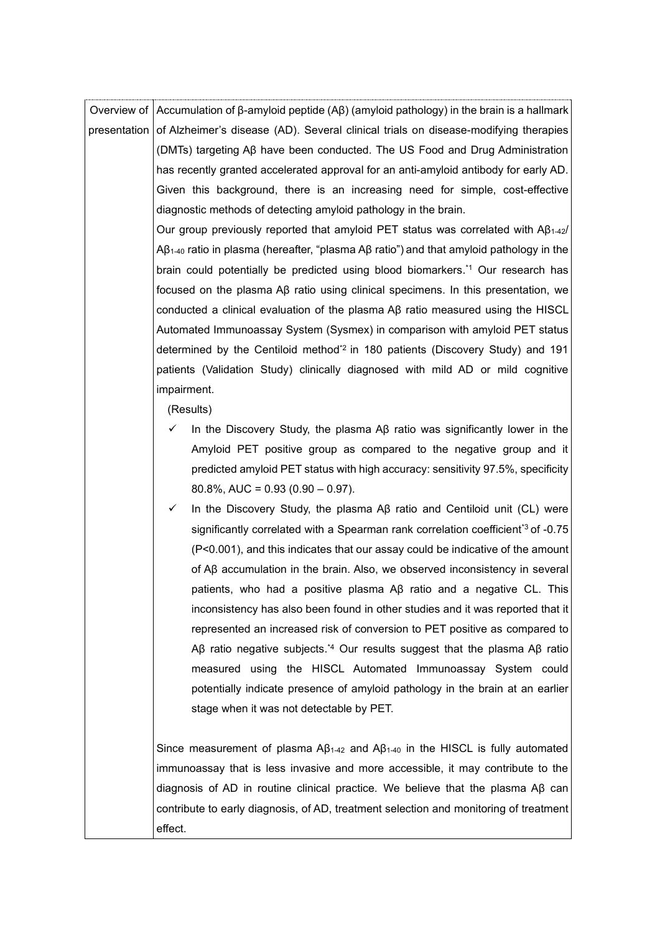Overview of Accumulation of β-amyloid peptide (Aβ) (amyloid pathology) in the brain is a hallmark presentation of Alzheimer's disease (AD). Several clinical trials on disease-modifying therapies (DMTs) targeting Aβ have been conducted. The US Food and Drug Administration has recently granted accelerated approval for an anti-amyloid antibody for early AD. Given this background, there is an increasing need for simple, cost-effective diagnostic methods of detecting amyloid pathology in the brain.

> Our group previously reported that amyloid PET status was correlated with Aβ1-42/ Aβ1-40 ratio in plasma (hereafter, "plasma Aβ ratio") and that amyloid pathology in the brain could potentially be predicted using blood biomarkers. \*1 Our research has focused on the plasma Aβ ratio using clinical specimens. In this presentation, we conducted a clinical evaluation of the plasma Aβ ratio measured using the HISCL Automated Immunoassay System (Sysmex) in comparison with amyloid PET status determined by the Centiloid method\*2 in 180 patients (Discovery Study) and 191 patients (Validation Study) clinically diagnosed with mild AD or mild cognitive impairment.

(Results)

- In the Discovery Study, the plasma Aβ ratio was significantly lower in the Amyloid PET positive group as compared to the negative group and it predicted amyloid PET status with high accuracy: sensitivity 97.5%, specificity 80.8%, AUC =  $0.93$  (0.90 – 0.97).
- ✓ In the Discovery Study, the plasma Aβ ratio and Centiloid unit (CL) were significantly correlated with a Spearman rank correlation coefficient<sup>\*3</sup> of -0.75 (P<0.001), and this indicates that our assay could be indicative of the amount of Aβ accumulation in the brain. Also, we observed inconsistency in several patients, who had a positive plasma Aβ ratio and a negative CL. This inconsistency has also been found in other studies and it was reported that it represented an increased risk of conversion to PET positive as compared to Aβ ratio negative subjects.<sup>\*4</sup> Our results suggest that the plasma Aβ ratio measured using the HISCL Automated Immunoassay System could potentially indicate presence of amyloid pathology in the brain at an earlier stage when it was not detectable by PET.

Since measurement of plasma  $AB_{1-42}$  and  $AB_{1-40}$  in the HISCL is fully automated immunoassay that is less invasive and more accessible, it may contribute to the diagnosis of AD in routine clinical practice. We believe that the plasma Aβ can contribute to early diagnosis, of AD, treatment selection and monitoring of treatment effect.